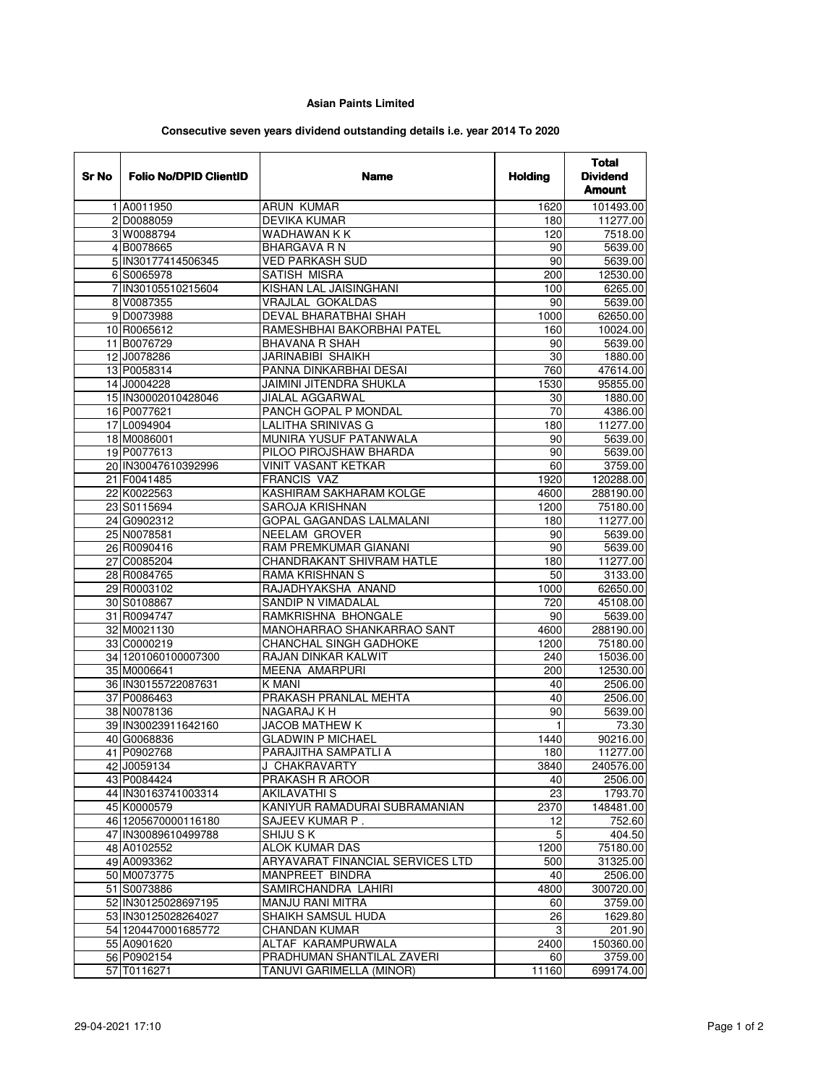## **Asian Paints Limited**

## **Consecutive seven years dividend outstanding details i.e. year 2014 To 2020**

| 1 A0011950<br>ARUN KUMAR<br>101493.00<br>1620<br><b>DEVIKA KUMAR</b><br>2 D0088059<br>11277.00<br>180<br>3 W0088794<br>WADHAWAN K K<br>7518.00<br>120<br><b>BHARGAVA R N</b><br>4B0078665<br>90<br>5639.00<br><b>VED PARKASH SUD</b><br>5 IN30177414506345<br>90<br>5639.00<br>SATISH MISRA<br>6 S0065978<br>200<br>12530.00<br>7 IN30105510215604<br>KISHAN LAL JAISINGHANI<br>100<br>6265.00<br><b>VRAJLAL GOKALDAS</b><br>5639.00<br>8 V0087355<br>90<br>9 D0073988<br>DEVAL BHARATBHAI SHAH<br>1000<br>62650.00<br>RAMESHBHAI BAKORBHAI PATEL<br>160<br>10024.00<br>10 R0065612<br>11 B0076729<br><b>BHAVANA R SHAH</b><br>90<br>5639.00<br>JARINABIBI SHAIKH<br>12 J0078286<br>30<br>1880.00<br>13 P0058314<br>PANNA DINKARBHAI DESAI<br>760<br>47614.00<br><b>JAIMINI JITENDRA SHUKLA</b><br>1530<br>14 J0004228<br>95855.00<br>15 IN30002010428046<br>JIALAL AGGARWAL<br>30<br>1880.00<br>16 P0077621<br>PANCH GOPAL P MONDAL<br>70<br>4386.00<br>17 L0094904<br><b>LALITHA SRINIVAS G</b><br>180<br>11277.00<br>MUNIRA YUSUF PATANWALA<br>18 M0086001<br>90<br>5639.00<br>PILOO PIROJSHAW BHARDA<br>19 P0077613<br>90<br>5639.00<br><b>VINIT VASANT KETKAR</b><br>3759.00<br>20 IN30047610392996<br>60<br><b>FRANCIS VAZ</b><br>1920<br>120288.00<br>21 F0041485<br>22 K0022563<br><b>KASHIRAM SAKHARAM KOLGE</b><br>4600<br>288190.00<br>23 S0115694<br>SAROJA KRISHNAN<br>1200<br>75180.00<br>GOPAL GAGANDAS LALMALANI<br>24 G0902312<br>180<br>11277.00<br>25 N0078581<br><b>NEELAM GROVER</b><br>90<br>5639.00<br>RAM PREMKUMAR GIANANI<br>26 R0090416<br>90<br>5639.00<br>CHANDRAKANT SHIVRAM HATLE<br>27 C0085204<br>180<br>11277.00<br><b>RAMA KRISHNAN S</b><br>28 R0084765<br>50<br>3133.00<br>29 R0003102<br>RAJADHYAKSHA ANAND<br>1000<br>62650.00<br>SANDIP N VIMADALAL<br>30 S0108867<br>720<br>45108.00<br>RAMKRISHNA BHONGALE<br>31 R0094747<br>90<br>5639.00<br>32 M0021130<br>MANOHARRAO SHANKARRAO SANT<br>4600<br>288190.00<br>33 C0000219<br>CHANCHAL SINGH GADHOKE<br>1200<br>75180.00<br>RAJAN DINKAR KALWIT<br>34 1201060100007300<br>240<br>15036.00<br>35 M0006641<br>MEENA AMARPURI<br>200<br>12530.00<br>36 IN30155722087631<br><b>K MANI</b><br>40<br>2506.00<br>PRAKASH PRANLAL MEHTA<br>37 P0086463<br>40<br>2506.00<br>38 N0078136<br>NAGARAJ K H<br>5639.00<br>90<br>39 IN30023911642160<br><b>JACOB MATHEW K</b><br>$\mathbf{1}$<br>73.30<br><b>GLADWIN P MICHAEL</b><br>90216.00<br>40 G0068836<br>1440<br>41 P0902768<br>PARAJITHA SAMPATLI A<br>11277.00<br>180<br>240576.00<br>42 J0059134<br>J CHAKRAVARTY<br>3840<br>43 P0084424<br>PRAKASH R AROOR<br>2506.00<br>40<br>44 IN30163741003314<br><b>AKILAVATHI S</b><br>23<br>1793.70<br>45 K0000579<br>KANIYUR RAMADURAI SUBRAMANIAN<br>2370<br>148481.00<br>46 1205670000116180<br>SAJEEV KUMAR P.<br>752.60<br>12<br>47 IN30089610499788<br>SHIJU S K<br>5<br>404.50<br><b>ALOK KUMAR DAS</b><br>48 A0102552<br>1200<br>75180.00<br>ARYAVARAT FINANCIAL SERVICES LTD<br>49 A0093362<br>500<br>31325.00<br>50 M0073775<br><b>MANPREET BINDRA</b><br>40<br>2506.00<br>51 S0073886<br>SAMIRCHANDRA LAHIRI<br>4800<br>300720.00<br>52 IN30125028697195<br><b>MANJU RANI MITRA</b><br>3759.00<br>60<br>53 IN30125028264027<br>SHAIKH SAMSUL HUDA<br>26<br>1629.80<br><b>CHANDAN KUMAR</b><br>3<br>54 1204470001685772<br>201.90<br>55 A0901620<br>ALTAF KARAMPURWALA<br>2400<br>150360.00<br>56 P0902154<br>PRADHUMAN SHANTILAL ZAVERI<br>3759.00<br>60<br>57 T0116271<br>TANUVI GARIMELLA (MINOR)<br>11160<br>699174.00 | Sr No | <b>Folio No/DPID ClientID</b> | Name | <b>Holding</b> | <b>Total</b><br><b>Dividend</b><br><b>Amount</b> |
|---------------------------------------------------------------------------------------------------------------------------------------------------------------------------------------------------------------------------------------------------------------------------------------------------------------------------------------------------------------------------------------------------------------------------------------------------------------------------------------------------------------------------------------------------------------------------------------------------------------------------------------------------------------------------------------------------------------------------------------------------------------------------------------------------------------------------------------------------------------------------------------------------------------------------------------------------------------------------------------------------------------------------------------------------------------------------------------------------------------------------------------------------------------------------------------------------------------------------------------------------------------------------------------------------------------------------------------------------------------------------------------------------------------------------------------------------------------------------------------------------------------------------------------------------------------------------------------------------------------------------------------------------------------------------------------------------------------------------------------------------------------------------------------------------------------------------------------------------------------------------------------------------------------------------------------------------------------------------------------------------------------------------------------------------------------------------------------------------------------------------------------------------------------------------------------------------------------------------------------------------------------------------------------------------------------------------------------------------------------------------------------------------------------------------------------------------------------------------------------------------------------------------------------------------------------------------------------------------------------------------------------------------------------------------------------------------------------------------------------------------------------------------------------------------------------------------------------------------------------------------------------------------------------------------------------------------------------------------------------------------------------------------------------------------------------------------------------------------------------------------------------------------------------------------------------------------------------------------------------------------------------------------------------------------------------------------------------------------------------------------------------------------------------------------------------------------------------------------------------------------------------------|-------|-------------------------------|------|----------------|--------------------------------------------------|
|                                                                                                                                                                                                                                                                                                                                                                                                                                                                                                                                                                                                                                                                                                                                                                                                                                                                                                                                                                                                                                                                                                                                                                                                                                                                                                                                                                                                                                                                                                                                                                                                                                                                                                                                                                                                                                                                                                                                                                                                                                                                                                                                                                                                                                                                                                                                                                                                                                                                                                                                                                                                                                                                                                                                                                                                                                                                                                                                                                                                                                                                                                                                                                                                                                                                                                                                                                                                                                                                                                                     |       |                               |      |                |                                                  |
|                                                                                                                                                                                                                                                                                                                                                                                                                                                                                                                                                                                                                                                                                                                                                                                                                                                                                                                                                                                                                                                                                                                                                                                                                                                                                                                                                                                                                                                                                                                                                                                                                                                                                                                                                                                                                                                                                                                                                                                                                                                                                                                                                                                                                                                                                                                                                                                                                                                                                                                                                                                                                                                                                                                                                                                                                                                                                                                                                                                                                                                                                                                                                                                                                                                                                                                                                                                                                                                                                                                     |       |                               |      |                |                                                  |
|                                                                                                                                                                                                                                                                                                                                                                                                                                                                                                                                                                                                                                                                                                                                                                                                                                                                                                                                                                                                                                                                                                                                                                                                                                                                                                                                                                                                                                                                                                                                                                                                                                                                                                                                                                                                                                                                                                                                                                                                                                                                                                                                                                                                                                                                                                                                                                                                                                                                                                                                                                                                                                                                                                                                                                                                                                                                                                                                                                                                                                                                                                                                                                                                                                                                                                                                                                                                                                                                                                                     |       |                               |      |                |                                                  |
|                                                                                                                                                                                                                                                                                                                                                                                                                                                                                                                                                                                                                                                                                                                                                                                                                                                                                                                                                                                                                                                                                                                                                                                                                                                                                                                                                                                                                                                                                                                                                                                                                                                                                                                                                                                                                                                                                                                                                                                                                                                                                                                                                                                                                                                                                                                                                                                                                                                                                                                                                                                                                                                                                                                                                                                                                                                                                                                                                                                                                                                                                                                                                                                                                                                                                                                                                                                                                                                                                                                     |       |                               |      |                |                                                  |
|                                                                                                                                                                                                                                                                                                                                                                                                                                                                                                                                                                                                                                                                                                                                                                                                                                                                                                                                                                                                                                                                                                                                                                                                                                                                                                                                                                                                                                                                                                                                                                                                                                                                                                                                                                                                                                                                                                                                                                                                                                                                                                                                                                                                                                                                                                                                                                                                                                                                                                                                                                                                                                                                                                                                                                                                                                                                                                                                                                                                                                                                                                                                                                                                                                                                                                                                                                                                                                                                                                                     |       |                               |      |                |                                                  |
|                                                                                                                                                                                                                                                                                                                                                                                                                                                                                                                                                                                                                                                                                                                                                                                                                                                                                                                                                                                                                                                                                                                                                                                                                                                                                                                                                                                                                                                                                                                                                                                                                                                                                                                                                                                                                                                                                                                                                                                                                                                                                                                                                                                                                                                                                                                                                                                                                                                                                                                                                                                                                                                                                                                                                                                                                                                                                                                                                                                                                                                                                                                                                                                                                                                                                                                                                                                                                                                                                                                     |       |                               |      |                |                                                  |
|                                                                                                                                                                                                                                                                                                                                                                                                                                                                                                                                                                                                                                                                                                                                                                                                                                                                                                                                                                                                                                                                                                                                                                                                                                                                                                                                                                                                                                                                                                                                                                                                                                                                                                                                                                                                                                                                                                                                                                                                                                                                                                                                                                                                                                                                                                                                                                                                                                                                                                                                                                                                                                                                                                                                                                                                                                                                                                                                                                                                                                                                                                                                                                                                                                                                                                                                                                                                                                                                                                                     |       |                               |      |                |                                                  |
|                                                                                                                                                                                                                                                                                                                                                                                                                                                                                                                                                                                                                                                                                                                                                                                                                                                                                                                                                                                                                                                                                                                                                                                                                                                                                                                                                                                                                                                                                                                                                                                                                                                                                                                                                                                                                                                                                                                                                                                                                                                                                                                                                                                                                                                                                                                                                                                                                                                                                                                                                                                                                                                                                                                                                                                                                                                                                                                                                                                                                                                                                                                                                                                                                                                                                                                                                                                                                                                                                                                     |       |                               |      |                |                                                  |
|                                                                                                                                                                                                                                                                                                                                                                                                                                                                                                                                                                                                                                                                                                                                                                                                                                                                                                                                                                                                                                                                                                                                                                                                                                                                                                                                                                                                                                                                                                                                                                                                                                                                                                                                                                                                                                                                                                                                                                                                                                                                                                                                                                                                                                                                                                                                                                                                                                                                                                                                                                                                                                                                                                                                                                                                                                                                                                                                                                                                                                                                                                                                                                                                                                                                                                                                                                                                                                                                                                                     |       |                               |      |                |                                                  |
|                                                                                                                                                                                                                                                                                                                                                                                                                                                                                                                                                                                                                                                                                                                                                                                                                                                                                                                                                                                                                                                                                                                                                                                                                                                                                                                                                                                                                                                                                                                                                                                                                                                                                                                                                                                                                                                                                                                                                                                                                                                                                                                                                                                                                                                                                                                                                                                                                                                                                                                                                                                                                                                                                                                                                                                                                                                                                                                                                                                                                                                                                                                                                                                                                                                                                                                                                                                                                                                                                                                     |       |                               |      |                |                                                  |
|                                                                                                                                                                                                                                                                                                                                                                                                                                                                                                                                                                                                                                                                                                                                                                                                                                                                                                                                                                                                                                                                                                                                                                                                                                                                                                                                                                                                                                                                                                                                                                                                                                                                                                                                                                                                                                                                                                                                                                                                                                                                                                                                                                                                                                                                                                                                                                                                                                                                                                                                                                                                                                                                                                                                                                                                                                                                                                                                                                                                                                                                                                                                                                                                                                                                                                                                                                                                                                                                                                                     |       |                               |      |                |                                                  |
|                                                                                                                                                                                                                                                                                                                                                                                                                                                                                                                                                                                                                                                                                                                                                                                                                                                                                                                                                                                                                                                                                                                                                                                                                                                                                                                                                                                                                                                                                                                                                                                                                                                                                                                                                                                                                                                                                                                                                                                                                                                                                                                                                                                                                                                                                                                                                                                                                                                                                                                                                                                                                                                                                                                                                                                                                                                                                                                                                                                                                                                                                                                                                                                                                                                                                                                                                                                                                                                                                                                     |       |                               |      |                |                                                  |
|                                                                                                                                                                                                                                                                                                                                                                                                                                                                                                                                                                                                                                                                                                                                                                                                                                                                                                                                                                                                                                                                                                                                                                                                                                                                                                                                                                                                                                                                                                                                                                                                                                                                                                                                                                                                                                                                                                                                                                                                                                                                                                                                                                                                                                                                                                                                                                                                                                                                                                                                                                                                                                                                                                                                                                                                                                                                                                                                                                                                                                                                                                                                                                                                                                                                                                                                                                                                                                                                                                                     |       |                               |      |                |                                                  |
|                                                                                                                                                                                                                                                                                                                                                                                                                                                                                                                                                                                                                                                                                                                                                                                                                                                                                                                                                                                                                                                                                                                                                                                                                                                                                                                                                                                                                                                                                                                                                                                                                                                                                                                                                                                                                                                                                                                                                                                                                                                                                                                                                                                                                                                                                                                                                                                                                                                                                                                                                                                                                                                                                                                                                                                                                                                                                                                                                                                                                                                                                                                                                                                                                                                                                                                                                                                                                                                                                                                     |       |                               |      |                |                                                  |
|                                                                                                                                                                                                                                                                                                                                                                                                                                                                                                                                                                                                                                                                                                                                                                                                                                                                                                                                                                                                                                                                                                                                                                                                                                                                                                                                                                                                                                                                                                                                                                                                                                                                                                                                                                                                                                                                                                                                                                                                                                                                                                                                                                                                                                                                                                                                                                                                                                                                                                                                                                                                                                                                                                                                                                                                                                                                                                                                                                                                                                                                                                                                                                                                                                                                                                                                                                                                                                                                                                                     |       |                               |      |                |                                                  |
|                                                                                                                                                                                                                                                                                                                                                                                                                                                                                                                                                                                                                                                                                                                                                                                                                                                                                                                                                                                                                                                                                                                                                                                                                                                                                                                                                                                                                                                                                                                                                                                                                                                                                                                                                                                                                                                                                                                                                                                                                                                                                                                                                                                                                                                                                                                                                                                                                                                                                                                                                                                                                                                                                                                                                                                                                                                                                                                                                                                                                                                                                                                                                                                                                                                                                                                                                                                                                                                                                                                     |       |                               |      |                |                                                  |
|                                                                                                                                                                                                                                                                                                                                                                                                                                                                                                                                                                                                                                                                                                                                                                                                                                                                                                                                                                                                                                                                                                                                                                                                                                                                                                                                                                                                                                                                                                                                                                                                                                                                                                                                                                                                                                                                                                                                                                                                                                                                                                                                                                                                                                                                                                                                                                                                                                                                                                                                                                                                                                                                                                                                                                                                                                                                                                                                                                                                                                                                                                                                                                                                                                                                                                                                                                                                                                                                                                                     |       |                               |      |                |                                                  |
|                                                                                                                                                                                                                                                                                                                                                                                                                                                                                                                                                                                                                                                                                                                                                                                                                                                                                                                                                                                                                                                                                                                                                                                                                                                                                                                                                                                                                                                                                                                                                                                                                                                                                                                                                                                                                                                                                                                                                                                                                                                                                                                                                                                                                                                                                                                                                                                                                                                                                                                                                                                                                                                                                                                                                                                                                                                                                                                                                                                                                                                                                                                                                                                                                                                                                                                                                                                                                                                                                                                     |       |                               |      |                |                                                  |
|                                                                                                                                                                                                                                                                                                                                                                                                                                                                                                                                                                                                                                                                                                                                                                                                                                                                                                                                                                                                                                                                                                                                                                                                                                                                                                                                                                                                                                                                                                                                                                                                                                                                                                                                                                                                                                                                                                                                                                                                                                                                                                                                                                                                                                                                                                                                                                                                                                                                                                                                                                                                                                                                                                                                                                                                                                                                                                                                                                                                                                                                                                                                                                                                                                                                                                                                                                                                                                                                                                                     |       |                               |      |                |                                                  |
|                                                                                                                                                                                                                                                                                                                                                                                                                                                                                                                                                                                                                                                                                                                                                                                                                                                                                                                                                                                                                                                                                                                                                                                                                                                                                                                                                                                                                                                                                                                                                                                                                                                                                                                                                                                                                                                                                                                                                                                                                                                                                                                                                                                                                                                                                                                                                                                                                                                                                                                                                                                                                                                                                                                                                                                                                                                                                                                                                                                                                                                                                                                                                                                                                                                                                                                                                                                                                                                                                                                     |       |                               |      |                |                                                  |
|                                                                                                                                                                                                                                                                                                                                                                                                                                                                                                                                                                                                                                                                                                                                                                                                                                                                                                                                                                                                                                                                                                                                                                                                                                                                                                                                                                                                                                                                                                                                                                                                                                                                                                                                                                                                                                                                                                                                                                                                                                                                                                                                                                                                                                                                                                                                                                                                                                                                                                                                                                                                                                                                                                                                                                                                                                                                                                                                                                                                                                                                                                                                                                                                                                                                                                                                                                                                                                                                                                                     |       |                               |      |                |                                                  |
|                                                                                                                                                                                                                                                                                                                                                                                                                                                                                                                                                                                                                                                                                                                                                                                                                                                                                                                                                                                                                                                                                                                                                                                                                                                                                                                                                                                                                                                                                                                                                                                                                                                                                                                                                                                                                                                                                                                                                                                                                                                                                                                                                                                                                                                                                                                                                                                                                                                                                                                                                                                                                                                                                                                                                                                                                                                                                                                                                                                                                                                                                                                                                                                                                                                                                                                                                                                                                                                                                                                     |       |                               |      |                |                                                  |
|                                                                                                                                                                                                                                                                                                                                                                                                                                                                                                                                                                                                                                                                                                                                                                                                                                                                                                                                                                                                                                                                                                                                                                                                                                                                                                                                                                                                                                                                                                                                                                                                                                                                                                                                                                                                                                                                                                                                                                                                                                                                                                                                                                                                                                                                                                                                                                                                                                                                                                                                                                                                                                                                                                                                                                                                                                                                                                                                                                                                                                                                                                                                                                                                                                                                                                                                                                                                                                                                                                                     |       |                               |      |                |                                                  |
|                                                                                                                                                                                                                                                                                                                                                                                                                                                                                                                                                                                                                                                                                                                                                                                                                                                                                                                                                                                                                                                                                                                                                                                                                                                                                                                                                                                                                                                                                                                                                                                                                                                                                                                                                                                                                                                                                                                                                                                                                                                                                                                                                                                                                                                                                                                                                                                                                                                                                                                                                                                                                                                                                                                                                                                                                                                                                                                                                                                                                                                                                                                                                                                                                                                                                                                                                                                                                                                                                                                     |       |                               |      |                |                                                  |
|                                                                                                                                                                                                                                                                                                                                                                                                                                                                                                                                                                                                                                                                                                                                                                                                                                                                                                                                                                                                                                                                                                                                                                                                                                                                                                                                                                                                                                                                                                                                                                                                                                                                                                                                                                                                                                                                                                                                                                                                                                                                                                                                                                                                                                                                                                                                                                                                                                                                                                                                                                                                                                                                                                                                                                                                                                                                                                                                                                                                                                                                                                                                                                                                                                                                                                                                                                                                                                                                                                                     |       |                               |      |                |                                                  |
|                                                                                                                                                                                                                                                                                                                                                                                                                                                                                                                                                                                                                                                                                                                                                                                                                                                                                                                                                                                                                                                                                                                                                                                                                                                                                                                                                                                                                                                                                                                                                                                                                                                                                                                                                                                                                                                                                                                                                                                                                                                                                                                                                                                                                                                                                                                                                                                                                                                                                                                                                                                                                                                                                                                                                                                                                                                                                                                                                                                                                                                                                                                                                                                                                                                                                                                                                                                                                                                                                                                     |       |                               |      |                |                                                  |
|                                                                                                                                                                                                                                                                                                                                                                                                                                                                                                                                                                                                                                                                                                                                                                                                                                                                                                                                                                                                                                                                                                                                                                                                                                                                                                                                                                                                                                                                                                                                                                                                                                                                                                                                                                                                                                                                                                                                                                                                                                                                                                                                                                                                                                                                                                                                                                                                                                                                                                                                                                                                                                                                                                                                                                                                                                                                                                                                                                                                                                                                                                                                                                                                                                                                                                                                                                                                                                                                                                                     |       |                               |      |                |                                                  |
|                                                                                                                                                                                                                                                                                                                                                                                                                                                                                                                                                                                                                                                                                                                                                                                                                                                                                                                                                                                                                                                                                                                                                                                                                                                                                                                                                                                                                                                                                                                                                                                                                                                                                                                                                                                                                                                                                                                                                                                                                                                                                                                                                                                                                                                                                                                                                                                                                                                                                                                                                                                                                                                                                                                                                                                                                                                                                                                                                                                                                                                                                                                                                                                                                                                                                                                                                                                                                                                                                                                     |       |                               |      |                |                                                  |
|                                                                                                                                                                                                                                                                                                                                                                                                                                                                                                                                                                                                                                                                                                                                                                                                                                                                                                                                                                                                                                                                                                                                                                                                                                                                                                                                                                                                                                                                                                                                                                                                                                                                                                                                                                                                                                                                                                                                                                                                                                                                                                                                                                                                                                                                                                                                                                                                                                                                                                                                                                                                                                                                                                                                                                                                                                                                                                                                                                                                                                                                                                                                                                                                                                                                                                                                                                                                                                                                                                                     |       |                               |      |                |                                                  |
|                                                                                                                                                                                                                                                                                                                                                                                                                                                                                                                                                                                                                                                                                                                                                                                                                                                                                                                                                                                                                                                                                                                                                                                                                                                                                                                                                                                                                                                                                                                                                                                                                                                                                                                                                                                                                                                                                                                                                                                                                                                                                                                                                                                                                                                                                                                                                                                                                                                                                                                                                                                                                                                                                                                                                                                                                                                                                                                                                                                                                                                                                                                                                                                                                                                                                                                                                                                                                                                                                                                     |       |                               |      |                |                                                  |
|                                                                                                                                                                                                                                                                                                                                                                                                                                                                                                                                                                                                                                                                                                                                                                                                                                                                                                                                                                                                                                                                                                                                                                                                                                                                                                                                                                                                                                                                                                                                                                                                                                                                                                                                                                                                                                                                                                                                                                                                                                                                                                                                                                                                                                                                                                                                                                                                                                                                                                                                                                                                                                                                                                                                                                                                                                                                                                                                                                                                                                                                                                                                                                                                                                                                                                                                                                                                                                                                                                                     |       |                               |      |                |                                                  |
|                                                                                                                                                                                                                                                                                                                                                                                                                                                                                                                                                                                                                                                                                                                                                                                                                                                                                                                                                                                                                                                                                                                                                                                                                                                                                                                                                                                                                                                                                                                                                                                                                                                                                                                                                                                                                                                                                                                                                                                                                                                                                                                                                                                                                                                                                                                                                                                                                                                                                                                                                                                                                                                                                                                                                                                                                                                                                                                                                                                                                                                                                                                                                                                                                                                                                                                                                                                                                                                                                                                     |       |                               |      |                |                                                  |
|                                                                                                                                                                                                                                                                                                                                                                                                                                                                                                                                                                                                                                                                                                                                                                                                                                                                                                                                                                                                                                                                                                                                                                                                                                                                                                                                                                                                                                                                                                                                                                                                                                                                                                                                                                                                                                                                                                                                                                                                                                                                                                                                                                                                                                                                                                                                                                                                                                                                                                                                                                                                                                                                                                                                                                                                                                                                                                                                                                                                                                                                                                                                                                                                                                                                                                                                                                                                                                                                                                                     |       |                               |      |                |                                                  |
|                                                                                                                                                                                                                                                                                                                                                                                                                                                                                                                                                                                                                                                                                                                                                                                                                                                                                                                                                                                                                                                                                                                                                                                                                                                                                                                                                                                                                                                                                                                                                                                                                                                                                                                                                                                                                                                                                                                                                                                                                                                                                                                                                                                                                                                                                                                                                                                                                                                                                                                                                                                                                                                                                                                                                                                                                                                                                                                                                                                                                                                                                                                                                                                                                                                                                                                                                                                                                                                                                                                     |       |                               |      |                |                                                  |
|                                                                                                                                                                                                                                                                                                                                                                                                                                                                                                                                                                                                                                                                                                                                                                                                                                                                                                                                                                                                                                                                                                                                                                                                                                                                                                                                                                                                                                                                                                                                                                                                                                                                                                                                                                                                                                                                                                                                                                                                                                                                                                                                                                                                                                                                                                                                                                                                                                                                                                                                                                                                                                                                                                                                                                                                                                                                                                                                                                                                                                                                                                                                                                                                                                                                                                                                                                                                                                                                                                                     |       |                               |      |                |                                                  |
|                                                                                                                                                                                                                                                                                                                                                                                                                                                                                                                                                                                                                                                                                                                                                                                                                                                                                                                                                                                                                                                                                                                                                                                                                                                                                                                                                                                                                                                                                                                                                                                                                                                                                                                                                                                                                                                                                                                                                                                                                                                                                                                                                                                                                                                                                                                                                                                                                                                                                                                                                                                                                                                                                                                                                                                                                                                                                                                                                                                                                                                                                                                                                                                                                                                                                                                                                                                                                                                                                                                     |       |                               |      |                |                                                  |
|                                                                                                                                                                                                                                                                                                                                                                                                                                                                                                                                                                                                                                                                                                                                                                                                                                                                                                                                                                                                                                                                                                                                                                                                                                                                                                                                                                                                                                                                                                                                                                                                                                                                                                                                                                                                                                                                                                                                                                                                                                                                                                                                                                                                                                                                                                                                                                                                                                                                                                                                                                                                                                                                                                                                                                                                                                                                                                                                                                                                                                                                                                                                                                                                                                                                                                                                                                                                                                                                                                                     |       |                               |      |                |                                                  |
|                                                                                                                                                                                                                                                                                                                                                                                                                                                                                                                                                                                                                                                                                                                                                                                                                                                                                                                                                                                                                                                                                                                                                                                                                                                                                                                                                                                                                                                                                                                                                                                                                                                                                                                                                                                                                                                                                                                                                                                                                                                                                                                                                                                                                                                                                                                                                                                                                                                                                                                                                                                                                                                                                                                                                                                                                                                                                                                                                                                                                                                                                                                                                                                                                                                                                                                                                                                                                                                                                                                     |       |                               |      |                |                                                  |
|                                                                                                                                                                                                                                                                                                                                                                                                                                                                                                                                                                                                                                                                                                                                                                                                                                                                                                                                                                                                                                                                                                                                                                                                                                                                                                                                                                                                                                                                                                                                                                                                                                                                                                                                                                                                                                                                                                                                                                                                                                                                                                                                                                                                                                                                                                                                                                                                                                                                                                                                                                                                                                                                                                                                                                                                                                                                                                                                                                                                                                                                                                                                                                                                                                                                                                                                                                                                                                                                                                                     |       |                               |      |                |                                                  |
|                                                                                                                                                                                                                                                                                                                                                                                                                                                                                                                                                                                                                                                                                                                                                                                                                                                                                                                                                                                                                                                                                                                                                                                                                                                                                                                                                                                                                                                                                                                                                                                                                                                                                                                                                                                                                                                                                                                                                                                                                                                                                                                                                                                                                                                                                                                                                                                                                                                                                                                                                                                                                                                                                                                                                                                                                                                                                                                                                                                                                                                                                                                                                                                                                                                                                                                                                                                                                                                                                                                     |       |                               |      |                |                                                  |
|                                                                                                                                                                                                                                                                                                                                                                                                                                                                                                                                                                                                                                                                                                                                                                                                                                                                                                                                                                                                                                                                                                                                                                                                                                                                                                                                                                                                                                                                                                                                                                                                                                                                                                                                                                                                                                                                                                                                                                                                                                                                                                                                                                                                                                                                                                                                                                                                                                                                                                                                                                                                                                                                                                                                                                                                                                                                                                                                                                                                                                                                                                                                                                                                                                                                                                                                                                                                                                                                                                                     |       |                               |      |                |                                                  |
|                                                                                                                                                                                                                                                                                                                                                                                                                                                                                                                                                                                                                                                                                                                                                                                                                                                                                                                                                                                                                                                                                                                                                                                                                                                                                                                                                                                                                                                                                                                                                                                                                                                                                                                                                                                                                                                                                                                                                                                                                                                                                                                                                                                                                                                                                                                                                                                                                                                                                                                                                                                                                                                                                                                                                                                                                                                                                                                                                                                                                                                                                                                                                                                                                                                                                                                                                                                                                                                                                                                     |       |                               |      |                |                                                  |
|                                                                                                                                                                                                                                                                                                                                                                                                                                                                                                                                                                                                                                                                                                                                                                                                                                                                                                                                                                                                                                                                                                                                                                                                                                                                                                                                                                                                                                                                                                                                                                                                                                                                                                                                                                                                                                                                                                                                                                                                                                                                                                                                                                                                                                                                                                                                                                                                                                                                                                                                                                                                                                                                                                                                                                                                                                                                                                                                                                                                                                                                                                                                                                                                                                                                                                                                                                                                                                                                                                                     |       |                               |      |                |                                                  |
|                                                                                                                                                                                                                                                                                                                                                                                                                                                                                                                                                                                                                                                                                                                                                                                                                                                                                                                                                                                                                                                                                                                                                                                                                                                                                                                                                                                                                                                                                                                                                                                                                                                                                                                                                                                                                                                                                                                                                                                                                                                                                                                                                                                                                                                                                                                                                                                                                                                                                                                                                                                                                                                                                                                                                                                                                                                                                                                                                                                                                                                                                                                                                                                                                                                                                                                                                                                                                                                                                                                     |       |                               |      |                |                                                  |
|                                                                                                                                                                                                                                                                                                                                                                                                                                                                                                                                                                                                                                                                                                                                                                                                                                                                                                                                                                                                                                                                                                                                                                                                                                                                                                                                                                                                                                                                                                                                                                                                                                                                                                                                                                                                                                                                                                                                                                                                                                                                                                                                                                                                                                                                                                                                                                                                                                                                                                                                                                                                                                                                                                                                                                                                                                                                                                                                                                                                                                                                                                                                                                                                                                                                                                                                                                                                                                                                                                                     |       |                               |      |                |                                                  |
|                                                                                                                                                                                                                                                                                                                                                                                                                                                                                                                                                                                                                                                                                                                                                                                                                                                                                                                                                                                                                                                                                                                                                                                                                                                                                                                                                                                                                                                                                                                                                                                                                                                                                                                                                                                                                                                                                                                                                                                                                                                                                                                                                                                                                                                                                                                                                                                                                                                                                                                                                                                                                                                                                                                                                                                                                                                                                                                                                                                                                                                                                                                                                                                                                                                                                                                                                                                                                                                                                                                     |       |                               |      |                |                                                  |
|                                                                                                                                                                                                                                                                                                                                                                                                                                                                                                                                                                                                                                                                                                                                                                                                                                                                                                                                                                                                                                                                                                                                                                                                                                                                                                                                                                                                                                                                                                                                                                                                                                                                                                                                                                                                                                                                                                                                                                                                                                                                                                                                                                                                                                                                                                                                                                                                                                                                                                                                                                                                                                                                                                                                                                                                                                                                                                                                                                                                                                                                                                                                                                                                                                                                                                                                                                                                                                                                                                                     |       |                               |      |                |                                                  |
|                                                                                                                                                                                                                                                                                                                                                                                                                                                                                                                                                                                                                                                                                                                                                                                                                                                                                                                                                                                                                                                                                                                                                                                                                                                                                                                                                                                                                                                                                                                                                                                                                                                                                                                                                                                                                                                                                                                                                                                                                                                                                                                                                                                                                                                                                                                                                                                                                                                                                                                                                                                                                                                                                                                                                                                                                                                                                                                                                                                                                                                                                                                                                                                                                                                                                                                                                                                                                                                                                                                     |       |                               |      |                |                                                  |
|                                                                                                                                                                                                                                                                                                                                                                                                                                                                                                                                                                                                                                                                                                                                                                                                                                                                                                                                                                                                                                                                                                                                                                                                                                                                                                                                                                                                                                                                                                                                                                                                                                                                                                                                                                                                                                                                                                                                                                                                                                                                                                                                                                                                                                                                                                                                                                                                                                                                                                                                                                                                                                                                                                                                                                                                                                                                                                                                                                                                                                                                                                                                                                                                                                                                                                                                                                                                                                                                                                                     |       |                               |      |                |                                                  |
|                                                                                                                                                                                                                                                                                                                                                                                                                                                                                                                                                                                                                                                                                                                                                                                                                                                                                                                                                                                                                                                                                                                                                                                                                                                                                                                                                                                                                                                                                                                                                                                                                                                                                                                                                                                                                                                                                                                                                                                                                                                                                                                                                                                                                                                                                                                                                                                                                                                                                                                                                                                                                                                                                                                                                                                                                                                                                                                                                                                                                                                                                                                                                                                                                                                                                                                                                                                                                                                                                                                     |       |                               |      |                |                                                  |
|                                                                                                                                                                                                                                                                                                                                                                                                                                                                                                                                                                                                                                                                                                                                                                                                                                                                                                                                                                                                                                                                                                                                                                                                                                                                                                                                                                                                                                                                                                                                                                                                                                                                                                                                                                                                                                                                                                                                                                                                                                                                                                                                                                                                                                                                                                                                                                                                                                                                                                                                                                                                                                                                                                                                                                                                                                                                                                                                                                                                                                                                                                                                                                                                                                                                                                                                                                                                                                                                                                                     |       |                               |      |                |                                                  |
|                                                                                                                                                                                                                                                                                                                                                                                                                                                                                                                                                                                                                                                                                                                                                                                                                                                                                                                                                                                                                                                                                                                                                                                                                                                                                                                                                                                                                                                                                                                                                                                                                                                                                                                                                                                                                                                                                                                                                                                                                                                                                                                                                                                                                                                                                                                                                                                                                                                                                                                                                                                                                                                                                                                                                                                                                                                                                                                                                                                                                                                                                                                                                                                                                                                                                                                                                                                                                                                                                                                     |       |                               |      |                |                                                  |
|                                                                                                                                                                                                                                                                                                                                                                                                                                                                                                                                                                                                                                                                                                                                                                                                                                                                                                                                                                                                                                                                                                                                                                                                                                                                                                                                                                                                                                                                                                                                                                                                                                                                                                                                                                                                                                                                                                                                                                                                                                                                                                                                                                                                                                                                                                                                                                                                                                                                                                                                                                                                                                                                                                                                                                                                                                                                                                                                                                                                                                                                                                                                                                                                                                                                                                                                                                                                                                                                                                                     |       |                               |      |                |                                                  |
|                                                                                                                                                                                                                                                                                                                                                                                                                                                                                                                                                                                                                                                                                                                                                                                                                                                                                                                                                                                                                                                                                                                                                                                                                                                                                                                                                                                                                                                                                                                                                                                                                                                                                                                                                                                                                                                                                                                                                                                                                                                                                                                                                                                                                                                                                                                                                                                                                                                                                                                                                                                                                                                                                                                                                                                                                                                                                                                                                                                                                                                                                                                                                                                                                                                                                                                                                                                                                                                                                                                     |       |                               |      |                |                                                  |
|                                                                                                                                                                                                                                                                                                                                                                                                                                                                                                                                                                                                                                                                                                                                                                                                                                                                                                                                                                                                                                                                                                                                                                                                                                                                                                                                                                                                                                                                                                                                                                                                                                                                                                                                                                                                                                                                                                                                                                                                                                                                                                                                                                                                                                                                                                                                                                                                                                                                                                                                                                                                                                                                                                                                                                                                                                                                                                                                                                                                                                                                                                                                                                                                                                                                                                                                                                                                                                                                                                                     |       |                               |      |                |                                                  |
|                                                                                                                                                                                                                                                                                                                                                                                                                                                                                                                                                                                                                                                                                                                                                                                                                                                                                                                                                                                                                                                                                                                                                                                                                                                                                                                                                                                                                                                                                                                                                                                                                                                                                                                                                                                                                                                                                                                                                                                                                                                                                                                                                                                                                                                                                                                                                                                                                                                                                                                                                                                                                                                                                                                                                                                                                                                                                                                                                                                                                                                                                                                                                                                                                                                                                                                                                                                                                                                                                                                     |       |                               |      |                |                                                  |
|                                                                                                                                                                                                                                                                                                                                                                                                                                                                                                                                                                                                                                                                                                                                                                                                                                                                                                                                                                                                                                                                                                                                                                                                                                                                                                                                                                                                                                                                                                                                                                                                                                                                                                                                                                                                                                                                                                                                                                                                                                                                                                                                                                                                                                                                                                                                                                                                                                                                                                                                                                                                                                                                                                                                                                                                                                                                                                                                                                                                                                                                                                                                                                                                                                                                                                                                                                                                                                                                                                                     |       |                               |      |                |                                                  |
|                                                                                                                                                                                                                                                                                                                                                                                                                                                                                                                                                                                                                                                                                                                                                                                                                                                                                                                                                                                                                                                                                                                                                                                                                                                                                                                                                                                                                                                                                                                                                                                                                                                                                                                                                                                                                                                                                                                                                                                                                                                                                                                                                                                                                                                                                                                                                                                                                                                                                                                                                                                                                                                                                                                                                                                                                                                                                                                                                                                                                                                                                                                                                                                                                                                                                                                                                                                                                                                                                                                     |       |                               |      |                |                                                  |